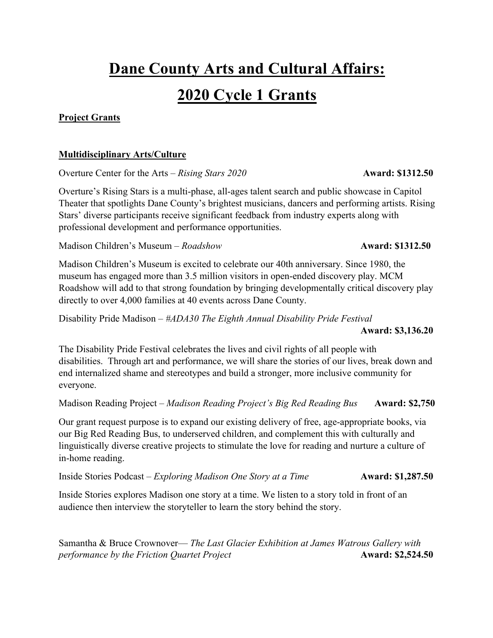# **Dane County Arts and Cultural Affairs:**

## **2020 Cycle 1 Grants**

### **Project Grants**

### **Multidisciplinary Arts/Culture**

Overture Center for the Arts – *Rising Stars 2020* Award: \$1312.50

Overture's Rising Stars is a multi-phase, all-ages talent search and public showcase in Capitol Theater that spotlights Dane County's brightest musicians, dancers and performing artists. Rising Stars' diverse participants receive significant feedback from industry experts along with professional development and performance opportunities.

Madison Children's Museum – *Roadshow* **Award: \$1312.50**

Madison Children's Museum is excited to celebrate our 40th anniversary. Since 1980, the museum has engaged more than 3.5 million visitors in open-ended discovery play. MCM Roadshow will add to that strong foundation by bringing developmentally critical discovery play directly to over 4,000 families at 40 events across Dane County.

Disability Pride Madison – *#ADA30 The Eighth Annual Disability Pride Festival* **Award: \$3,136.20**

The Disability Pride Festival celebrates the lives and civil rights of all people with disabilities. Through art and performance, we will share the stories of our lives, break down and end internalized shame and stereotypes and build a stronger, more inclusive community for everyone.

Madison Reading Project – *Madison Reading Project's Big Red Reading Bus* **Award: \$2,750**

Our grant request purpose is to expand our existing delivery of free, age-appropriate books, via our Big Red Reading Bus, to underserved children, and complement this with culturally and linguistically diverse creative projects to stimulate the love for reading and nurture a culture of in-home reading.

Inside Stories Podcast – *Exploring Madison One Story at a Time* **Award: \$1,287.50**

Inside Stories explores Madison one story at a time. We listen to a story told in front of an audience then interview the storyteller to learn the story behind the story.

Samantha & Bruce Crownover— *The Last Glacier Exhibition at James Watrous Gallery with performance by the Friction Quartet Project Award: \$2,524.50*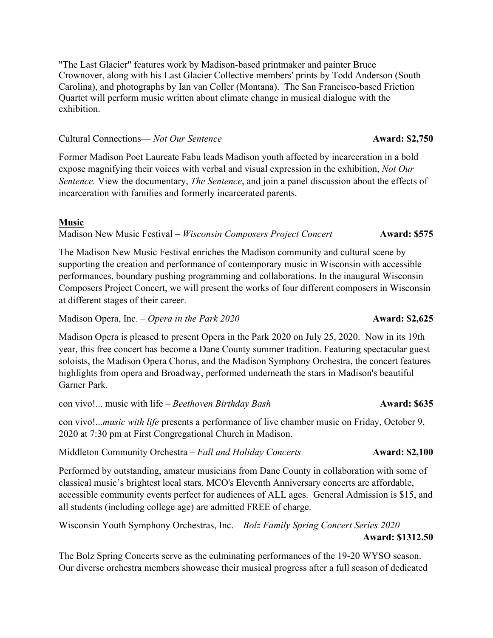"The Last Glacier" features work by Madison-based printmaker and painter Bruce Crownover, along with his Last Glacier Collective members' prints by Todd Anderson (South Carolina), and photographs by Ian van Coller (Montana). The San Francisco-based Friction Quartet will perform music written about climate change in musical dialogue with the exhibition.

#### Cultural Connections— *Not Our Sentence* **Award: \$2,750**

Former Madison Poet Laureate Fabu leads Madison youth affected by incarceration in a bold expose magnifying their voices with verbal and visual expression in the exhibition, *Not Our Sentence.* View the documentary, *The Sentence*, and join a panel discussion about the effects of incarceration with families and formerly incarcerated parents.

#### **Music**

Madison New Music Festival – *Wisconsin Composers Project Concert* **Award: \$575**

The Madison New Music Festival enriches the Madison community and cultural scene by supporting the creation and performance of contemporary music in Wisconsin with accessible performances, boundary pushing programming and collaborations. In the inaugural Wisconsin Composers Project Concert, we will present the works of four different composers in Wisconsin at different stages of their career.

Madison Opera, Inc. *– Opera in the Park 2020* **Award: \$2,625** 

Madison Opera is pleased to present Opera in the Park 2020 on July 25, 2020. Now in its 19th year, this free concert has become a Dane County summer tradition. Featuring spectacular guest soloists, the Madison Opera Chorus, and the Madison Symphony Orchestra, the concert features highlights from opera and Broadway, performed underneath the stars in Madison's beautiful Garner Park.

con vivo!... music with life – *Beethoven Birthday Bash* **Award: \$635** 

con vivo!...*music with life* presents a performance of live chamber music on Friday, October 9, 2020 at 7:30 pm at First Congregational Church in Madison.

Middleton Community Orchestra – *Fall and Holiday Concerts* **Award: \$2,100** 

Performed by outstanding, amateur musicians from Dane County in collaboration with some of classical music's brightest local stars, MCO's Eleventh Anniversary concerts are affordable, accessible community events perfect for audiences of ALL ages. General Admission is \$15, and all students (including college age) are admitted FREE of charge.

Wisconsin Youth Symphony Orchestras, Inc. – *Bolz Family Spring Concert Series 2020* **Award: \$1312.50**

The Bolz Spring Concerts serve as the culminating performances of the 19-20 WYSO season. Our diverse orchestra members showcase their musical progress after a full season of dedicated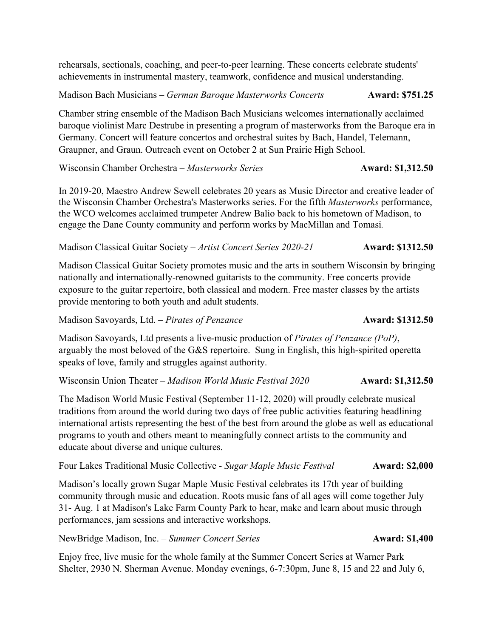rehearsals, sectionals, coaching, and peer-to-peer learning. These concerts celebrate students' achievements in instrumental mastery, teamwork, confidence and musical understanding.

Madison Bach Musicians – *German Baroque Masterworks Concerts* **Award: \$751.25** 

Chamber string ensemble of the Madison Bach Musicians welcomes internationally acclaimed baroque violinist Marc Destrube in presenting a program of masterworks from the Baroque era in Germany. Concert will feature concertos and orchestral suites by Bach, Handel, Telemann, Graupner, and Graun. Outreach event on October 2 at Sun Prairie High School.

Wisconsin Chamber Orchestra – *Masterworks Series* **Award: \$1,312.50** 

In 2019-20, Maestro Andrew Sewell celebrates 20 years as Music Director and creative leader of the Wisconsin Chamber Orchestra's Masterworks series. For the fifth *Masterworks* performance, the WCO welcomes acclaimed trumpeter Andrew Balio back to his hometown of Madison, to engage the Dane County community and perform works by MacMillan and Tomasi*.*

Madison Classical Guitar Society – *Artist Concert Series 2020-21* **Award: \$1312.50**

Madison Classical Guitar Society promotes music and the arts in southern Wisconsin by bringing nationally and internationally-renowned guitarists to the community. Free concerts provide exposure to the guitar repertoire, both classical and modern. Free master classes by the artists provide mentoring to both youth and adult students.

Madison Savoyards, Ltd. – *Pirates of Penzance* **Award: \$1312.50**

Madison Savoyards, Ltd presents a live-music production of *Pirates of Penzance (PoP)*, arguably the most beloved of the G&S repertoire. Sung in English, this high-spirited operetta speaks of love, family and struggles against authority.

Wisconsin Union Theater – *Madison World Music Festival 2020* **Award: \$1,312.50** 

The Madison World Music Festival (September 11-12, 2020) will proudly celebrate musical traditions from around the world during two days of free public activities featuring headlining international artists representing the best of the best from around the globe as well as educational programs to youth and others meant to meaningfully connect artists to the community and educate about diverse and unique cultures.

Four Lakes Traditional Music Collective - *Sugar Maple Music Festival* **Award: \$2,000**

Madison's locally grown Sugar Maple Music Festival celebrates its 17th year of building community through music and education. Roots music fans of all ages will come together July 31- Aug. 1 at Madison's Lake Farm County Park to hear, make and learn about music through performances, jam sessions and interactive workshops.

NewBridge Madison, Inc. – *Summer Concert Series* **Award: \$1,400** 

Enjoy free, live music for the whole family at the Summer Concert Series at Warner Park Shelter, 2930 N. Sherman Avenue. Monday evenings, 6-7:30pm, June 8, 15 and 22 and July 6,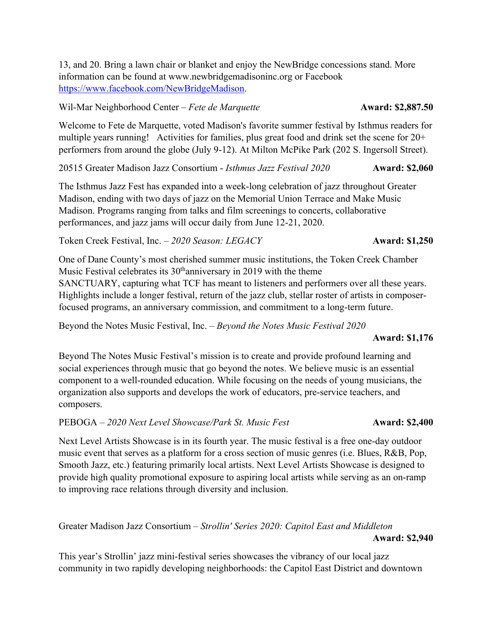13, and 20. Bring a lawn chair or blanket and enjoy the NewBridge concessions stand. More information can be found at www.newbridgemadisoninc.org or Facebook https://www.facebook.com/NewBridgeMadison.

Wil-Mar Neighborhood Center – *Fete de Marquette* **Award: \$2,887.50** 

Welcome to Fete de Marquette, voted Madison's favorite summer festival by Isthmus readers for multiple years running! Activities for families, plus great food and drink set the scene for 20+ performers from around the globe (July 9-12). At Milton McPike Park (202 S. Ingersoll Street).

20515 Greater Madison Jazz Consortium - *Isthmus Jazz Festival 2020* **Award: \$2,060**

The Isthmus Jazz Fest has expanded into a week-long celebration of jazz throughout Greater Madison, ending with two days of jazz on the Memorial Union Terrace and Make Music Madison. Programs ranging from talks and film screenings to concerts, collaborative performances, and jazz jams will occur daily from June 12-21, 2020.

Token Creek Festival, Inc. – 2020 Season: LEGACY **Award: \$1,250** 

One of Dane County's most cherished summer music institutions, the Token Creek Chamber Music Festival celebrates its  $30<sup>th</sup>$  anniversary in 2019 with the theme SANCTUARY, capturing what TCF has meant to listeners and performers over all these years. Highlights include a longer festival, return of the jazz club, stellar roster of artists in composerfocused programs, an anniversary commission, and commitment to a long-term future.

Beyond the Notes Music Festival, Inc. – *Beyond the Notes Music Festival 2020*

#### **Award: \$1,176**

Beyond The Notes Music Festival's mission is to create and provide profound learning and social experiences through music that go beyond the notes. We believe music is an essential component to a well-rounded education. While focusing on the needs of young musicians, the organization also supports and develops the work of educators, pre-service teachers, and composers.

PEBOGA – *2020 Next Level Showcase/Park St. Music Fest* **Award: \$2,400**

Next Level Artists Showcase is in its fourth year. The music festival is a free one-day outdoor music event that serves as a platform for a cross section of music genres (i.e. Blues, R&B, Pop, Smooth Jazz, etc.) featuring primarily local artists. Next Level Artists Showcase is designed to provide high quality promotional exposure to aspiring local artists while serving as an on-ramp to improving race relations through diversity and inclusion.

Greater Madison Jazz Consortium – *Strollin' Series 2020: Capitol East and Middleton*   **Award: \$2,940**

This year's Strollin' jazz mini-festival series showcases the vibrancy of our local jazz community in two rapidly developing neighborhoods: the Capitol East District and downtown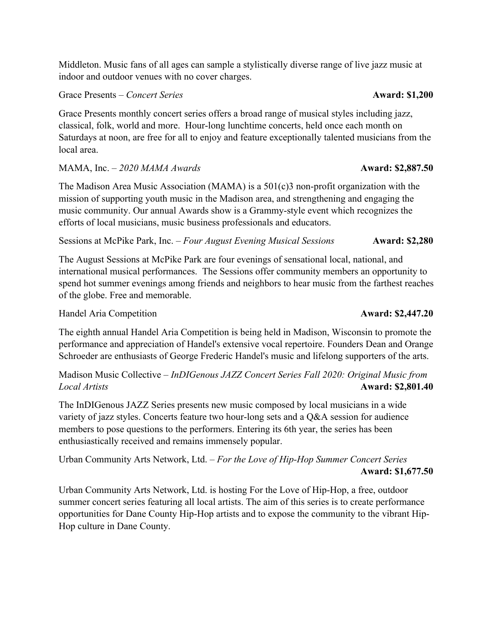Middleton. Music fans of all ages can sample a stylistically diverse range of live jazz music at indoor and outdoor venues with no cover charges.

Grace Presents – *Concert Series* **Award: \$1,200** 

Grace Presents monthly concert series offers a broad range of musical styles including jazz, classical, folk, world and more. Hour-long lunchtime concerts, held once each month on Saturdays at noon, are free for all to enjoy and feature exceptionally talented musicians from the local area.

### MAMA, Inc. *– 2020 MAMA Awards* **Award: \$2,887.50**

The Madison Area Music Association (MAMA) is a  $501(c)3$  non-profit organization with the mission of supporting youth music in the Madison area, and strengthening and engaging the music community. Our annual Awards show is a Grammy-style event which recognizes the efforts of local musicians, music business professionals and educators.

Sessions at McPike Park, Inc. – *Four August Evening Musical Sessions* **Award: \$2,280** 

The August Sessions at McPike Park are four evenings of sensational local, national, and international musical performances. The Sessions offer community members an opportunity to spend hot summer evenings among friends and neighbors to hear music from the farthest reaches of the globe. Free and memorable.

Handel Aria Competition **Award: \$2,447.20** 

The eighth annual Handel Aria Competition is being held in Madison, Wisconsin to promote the performance and appreciation of Handel's extensive vocal repertoire. Founders Dean and Orange Schroeder are enthusiasts of George Frederic Handel's music and lifelong supporters of the arts.

Madison Music Collective – *InDIGenous JAZZ Concert Series Fall 2020: Original Music from Local Artists* **Award: \$2,801.40**

The InDIGenous JAZZ Series presents new music composed by local musicians in a wide variety of jazz styles. Concerts feature two hour-long sets and a Q&A session for audience members to pose questions to the performers. Entering its 6th year, the series has been enthusiastically received and remains immensely popular.

Urban Community Arts Network, Ltd. – *For the Love of Hip-Hop Summer Concert Series*   **Award: \$1,677.50**

Urban Community Arts Network, Ltd. is hosting For the Love of Hip-Hop, a free, outdoor summer concert series featuring all local artists. The aim of this series is to create performance opportunities for Dane County Hip-Hop artists and to expose the community to the vibrant Hip-Hop culture in Dane County.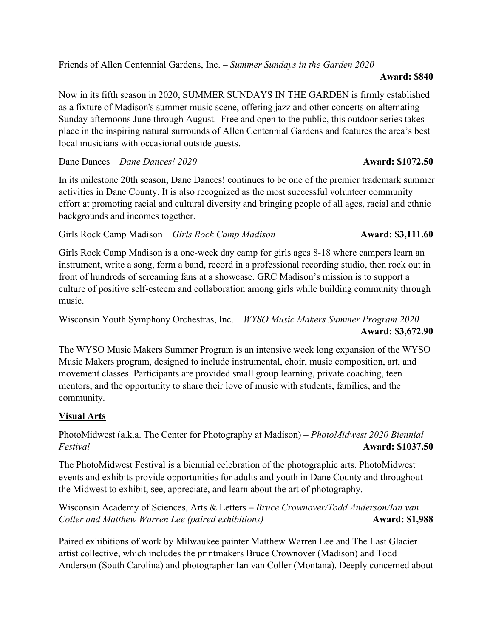Friends of Allen Centennial Gardens, Inc. – *Summer Sundays in the Garden 2020* 

#### **Award: \$840**

Now in its fifth season in 2020, SUMMER SUNDAYS IN THE GARDEN is firmly established as a fixture of Madison's summer music scene, offering jazz and other concerts on alternating Sunday afternoons June through August. Free and open to the public, this outdoor series takes place in the inspiring natural surrounds of Allen Centennial Gardens and features the area's best local musicians with occasional outside guests.

Dane Dances – *Dane Dances! 2020* **Award: \$1072.50**

In its milestone 20th season, Dane Dances! continues to be one of the premier trademark summer activities in Dane County. It is also recognized as the most successful volunteer community effort at promoting racial and cultural diversity and bringing people of all ages, racial and ethnic backgrounds and incomes together.

Girls Rock Camp Madison – *Girls Rock Camp Madison* **Award: \$3,111.60** 

Girls Rock Camp Madison is a one-week day camp for girls ages 8-18 where campers learn an instrument, write a song, form a band, record in a professional recording studio, then rock out in front of hundreds of screaming fans at a showcase. GRC Madison's mission is to support a culture of positive self-esteem and collaboration among girls while building community through music.

Wisconsin Youth Symphony Orchestras, Inc. – *WYSO Music Makers Summer Program 2020* **Award: \$3,672.90**

The WYSO Music Makers Summer Program is an intensive week long expansion of the WYSO Music Makers program, designed to include instrumental, choir, music composition, art, and movement classes. Participants are provided small group learning, private coaching, teen mentors, and the opportunity to share their love of music with students, families, and the community.

### **Visual Arts**

PhotoMidwest (a.k.a. The Center for Photography at Madison) – *PhotoMidwest 2020 Biennial Festival* **Award: \$1037.50**

The PhotoMidwest Festival is a biennial celebration of the photographic arts. PhotoMidwest events and exhibits provide opportunities for adults and youth in Dane County and throughout the Midwest to exhibit, see, appreciate, and learn about the art of photography.

Wisconsin Academy of Sciences, Arts & Letters – *Bruce Crownover/Todd Anderson/Ian van*  **Coller and Matthew Warren Lee (paired exhibitions) Award: \$1,988** 

Paired exhibitions of work by Milwaukee painter Matthew Warren Lee and The Last Glacier artist collective, which includes the printmakers Bruce Crownover (Madison) and Todd Anderson (South Carolina) and photographer Ian van Coller (Montana). Deeply concerned about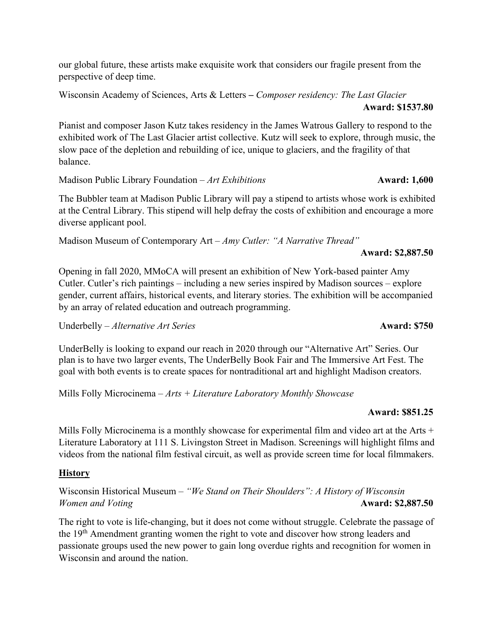our global future, these artists make exquisite work that considers our fragile present from the perspective of deep time.

Wisconsin Academy of Sciences, Arts & Letters – *Composer residency: The Last Glacier*   **Award: \$1537.80**

Pianist and composer Jason Kutz takes residency in the James Watrous Gallery to respond to the exhibited work of The Last Glacier artist collective. Kutz will seek to explore, through music, the slow pace of the depletion and rebuilding of ice, unique to glaciers, and the fragility of that balance.

Madison Public Library Foundation – *Art Exhibitions* **Award: 1,600** 

The Bubbler team at Madison Public Library will pay a stipend to artists whose work is exhibited at the Central Library. This stipend will help defray the costs of exhibition and encourage a more diverse applicant pool.

Madison Museum of Contemporary Art – *Amy Cutler: "A Narrative Thread"*

 **Award: \$2,887.50**

Opening in fall 2020, MMoCA will present an exhibition of New York-based painter Amy Cutler. Cutler's rich paintings – including a new series inspired by Madison sources – explore gender, current affairs, historical events, and literary stories. The exhibition will be accompanied by an array of related education and outreach programming.

Underbelly – *Alternative Art Series* **Award: \$750** 

UnderBelly is looking to expand our reach in 2020 through our "Alternative Art" Series. Our plan is to have two larger events, The UnderBelly Book Fair and The Immersive Art Fest. The goal with both events is to create spaces for nontraditional art and highlight Madison creators.

Mills Folly Microcinema – *Arts + Literature Laboratory Monthly Showcase* 

### **Award: \$851.25**

Mills Folly Microcinema is a monthly showcase for experimental film and video art at the Arts + Literature Laboratory at 111 S. Livingston Street in Madison. Screenings will highlight films and videos from the national film festival circuit, as well as provide screen time for local filmmakers.

### **History**

Wisconsin Historical Museum – *"We Stand on Their Shoulders": A History of Wisconsin Women and Voting Award: \$2,887.50* 

The right to vote is life-changing, but it does not come without struggle. Celebrate the passage of the 19<sup>th</sup> Amendment granting women the right to vote and discover how strong leaders and passionate groups used the new power to gain long overdue rights and recognition for women in Wisconsin and around the nation.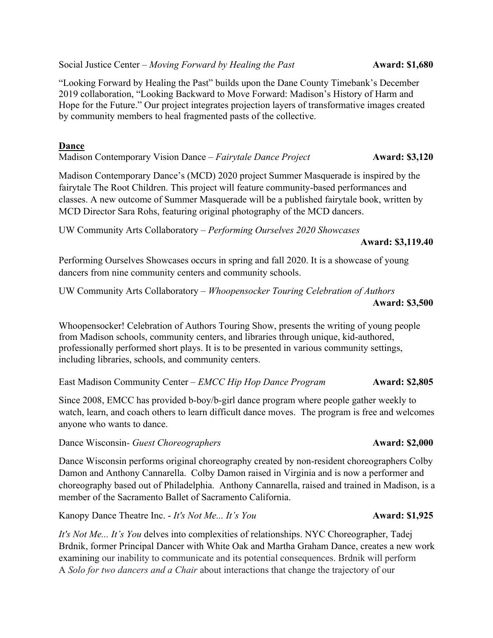Social Justice Center – *Moving Forward by Healing the Past* **Award: \$1,680** 

"Looking Forward by Healing the Past" builds upon the Dane County Timebank's December 2019 collaboration, "Looking Backward to Move Forward: Madison's History of Harm and Hope for the Future." Our project integrates projection layers of transformative images created by community members to heal fragmented pasts of the collective.

### **Dance**

Madison Contemporary Vision Dance – *Fairytale Dance Project* **Award: \$3,120**

Madison Contemporary Dance's (MCD) 2020 project Summer Masquerade is inspired by the fairytale The Root Children. This project will feature community-based performances and classes. A new outcome of Summer Masquerade will be a published fairytale book, written by MCD Director Sara Rohs, featuring original photography of the MCD dancers.

UW Community Arts Collaboratory – *Performing Ourselves 2020 Showcases*

**Award: \$3,119.40**

Performing Ourselves Showcases occurs in spring and fall 2020. It is a showcase of young dancers from nine community centers and community schools.

UW Community Arts Collaboratory – *Whoopensocker Touring Celebration of Authors*  **Award: \$3,500**

Whoopensocker! Celebration of Authors Touring Show, presents the writing of young people from Madison schools, community centers, and libraries through unique, kid-authored, professionally performed short plays. It is to be presented in various community settings, including libraries, schools, and community centers.

East Madison Community Center – *EMCC Hip Hop Dance Program* **Award: \$2,805**

Since 2008, EMCC has provided b-boy/b-girl dance program where people gather weekly to watch, learn, and coach others to learn difficult dance moves. The program is free and welcomes anyone who wants to dance.

Dance Wisconsin*- Guest Choreographers* **Award: \$2,000**

Dance Wisconsin performs original choreography created by non-resident choreographers Colby Damon and Anthony Cannarella. Colby Damon raised in Virginia and is now a performer and choreography based out of Philadelphia. Anthony Cannarella, raised and trained in Madison, is a member of the Sacramento Ballet of Sacramento California.

Kanopy Dance Theatre Inc. - *It's Not Me... It's You* **Award: \$1,925** 

*It's Not Me... It's You* delves into complexities of relationships. NYC Choreographer, Tadej Brdnik, former Principal Dancer with White Oak and Martha Graham Dance, creates a new work examining our inability to communicate and its potential consequences. Brdnik will perform A *Solo for two dancers and a Chair* about interactions that change the trajectory of our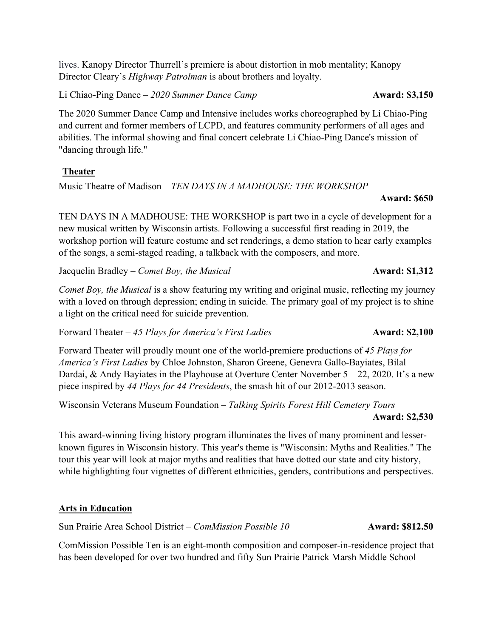lives. Kanopy Director Thurrell's premiere is about distortion in mob mentality; Kanopy Director Cleary's *Highway Patrolman* is about brothers and loyalty.

Li Chiao-Ping Dance – *2020 Summer Dance Camp* **Award: \$3,150**

The 2020 Summer Dance Camp and Intensive includes works choreographed by Li Chiao-Ping and current and former members of LCPD, and features community performers of all ages and abilities. The informal showing and final concert celebrate Li Chiao-Ping Dance's mission of "dancing through life."

### **Theater**

Music Theatre of Madison – *TEN DAYS IN A MADHOUSE: THE WORKSHOP*

#### **Award: \$650**

TEN DAYS IN A MADHOUSE: THE WORKSHOP is part two in a cycle of development for a new musical written by Wisconsin artists. Following a successful first reading in 2019, the workshop portion will feature costume and set renderings, a demo station to hear early examples of the songs, a semi-staged reading, a talkback with the composers, and more.

Jacquelin Bradley – *Comet Boy, the Musical* **Award: \$1,312** 

*Comet Boy, the Musical* is a show featuring my writing and original music, reflecting my journey with a loved on through depression; ending in suicide. The primary goal of my project is to shine a light on the critical need for suicide prevention.

Forward Theater – 45 Plays for America's First Ladies **Award: \$2,100** 

Forward Theater will proudly mount one of the world-premiere productions of *45 Plays for America's First Ladies* by Chloe Johnston, Sharon Greene, Genevra Gallo-Bayiates, Bilal Dardai, & Andy Bayiates in the Playhouse at Overture Center November 5 – 22, 2020. It's a new piece inspired by *44 Plays for 44 Presidents*, the smash hit of our 2012-2013 season.

Wisconsin Veterans Museum Foundation – *Talking Spirits Forest Hill Cemetery Tours*  **Award: \$2,530**

This award-winning living history program illuminates the lives of many prominent and lesserknown figures in Wisconsin history. This year's theme is "Wisconsin: Myths and Realities." The tour this year will look at major myths and realities that have dotted our state and city history, while highlighting four vignettes of different ethnicities, genders, contributions and perspectives.

### **Arts in Education**

Sun Prairie Area School District *– ComMission Possible 10* **Award: \$812.50**

ComMission Possible Ten is an eight-month composition and composer-in-residence project that has been developed for over two hundred and fifty Sun Prairie Patrick Marsh Middle School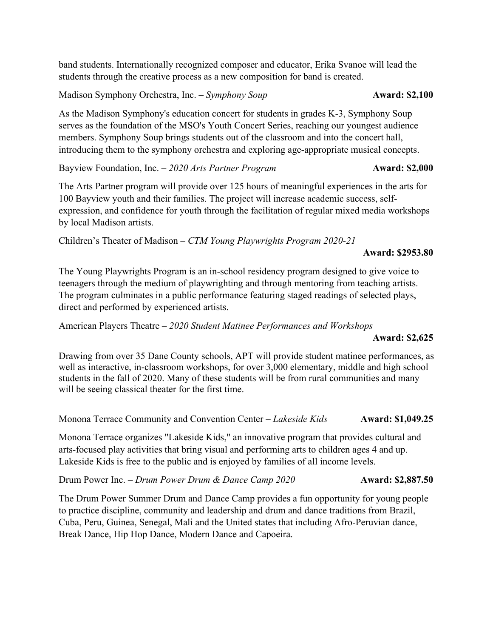band students. Internationally recognized composer and educator, Erika Svanoe will lead the students through the creative process as a new composition for band is created.

Madison Symphony Orchestra, Inc. – *Symphony Soup* **Award: \$2,100**

As the Madison Symphony's education concert for students in grades K-3, Symphony Soup serves as the foundation of the MSO's Youth Concert Series, reaching our youngest audience members. Symphony Soup brings students out of the classroom and into the concert hall, introducing them to the symphony orchestra and exploring age-appropriate musical concepts.

Bayview Foundation, Inc. – 2020 Arts Partner Program **Award: \$2,000** 

The Arts Partner program will provide over 125 hours of meaningful experiences in the arts for 100 Bayview youth and their families. The project will increase academic success, selfexpression, and confidence for youth through the facilitation of regular mixed media workshops by local Madison artists.

Children's Theater of Madison – *CTM Young Playwrights Program 2020-21* 

**Award: \$2953.80**

The Young Playwrights Program is an in-school residency program designed to give voice to teenagers through the medium of playwrighting and through mentoring from teaching artists. The program culminates in a public performance featuring staged readings of selected plays, direct and performed by experienced artists.

American Players Theatre – *2020 Student Matinee Performances and Workshops*

#### **Award: \$2,625**

Drawing from over 35 Dane County schools, APT will provide student matinee performances, as well as interactive, in-classroom workshops, for over 3,000 elementary, middle and high school students in the fall of 2020. Many of these students will be from rural communities and many will be seeing classical theater for the first time.

Monona Terrace Community and Convention Center – *Lakeside Kids* **Award: \$1,049.25**

Monona Terrace organizes "Lakeside Kids," an innovative program that provides cultural and arts-focused play activities that bring visual and performing arts to children ages 4 and up. Lakeside Kids is free to the public and is enjoyed by families of all income levels.

Drum Power Inc. – *Drum Power Drum & Dance Camp 2020* **Award: \$2,887.50**

The Drum Power Summer Drum and Dance Camp provides a fun opportunity for young people to practice discipline, community and leadership and drum and dance traditions from Brazil, Cuba, Peru, Guinea, Senegal, Mali and the United states that including Afro-Peruvian dance, Break Dance, Hip Hop Dance, Modern Dance and Capoeira.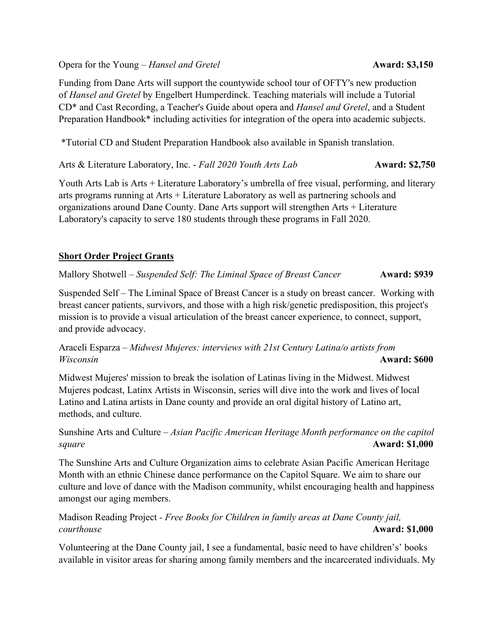Opera for the Young – *Hansel and Gretel* **Award: \$3,150** 

Funding from Dane Arts will support the countywide school tour of OFTY's new production of *Hansel and Gretel* by Engelbert Humperdinck. Teaching materials will include a Tutorial CD\* and Cast Recording, a Teacher's Guide about opera and *Hansel and Gretel*, and a Student Preparation Handbook\* including activities for integration of the opera into academic subjects.

\*Tutorial CD and Student Preparation Handbook also available in Spanish translation.

Arts & Literature Laboratory, Inc. - *Fall 2020 Youth Arts Lab* **Award: \$2,750** 

Youth Arts Lab is Arts + Literature Laboratory's umbrella of free visual, performing, and literary arts programs running at Arts + Literature Laboratory as well as partnering schools and organizations around Dane County. Dane Arts support will strengthen Arts + Literature Laboratory's capacity to serve 180 students through these programs in Fall 2020.

### **Short Order Project Grants**

Mallory Shotwell – *Suspended Self: The Liminal Space of Breast Cancer* **Award: \$939** 

Suspended Self – The Liminal Space of Breast Cancer is a study on breast cancer. Working with breast cancer patients, survivors, and those with a high risk/genetic predisposition, this project's mission is to provide a visual articulation of the breast cancer experience, to connect, support, and provide advocacy.

### Araceli Esparza – *Midwest Mujeres: interviews with 21st Century Latina/o artists from Wisconsin* **Award: \$600**

Midwest Mujeres' mission to break the isolation of Latinas living in the Midwest. Midwest Mujeres podcast, Latinx Artists in Wisconsin, series will dive into the work and lives of local Latino and Latina artists in Dane county and provide an oral digital history of Latino art, methods, and culture.

### Sunshine Arts and Culture – *Asian Pacific American Heritage Month performance on the capitol square* **Award: \$1,000**

The Sunshine Arts and Culture Organization aims to celebrate Asian Pacific American Heritage Month with an ethnic Chinese dance performance on the Capitol Square. We aim to share our culture and love of dance with the Madison community, whilst encouraging health and happiness amongst our aging members.

### Madison Reading Project *- Free Books for Children in family areas at Dane County jail, courthouse* **Award: \$1,000**

Volunteering at the Dane County jail, I see a fundamental, basic need to have children's' books available in visitor areas for sharing among family members and the incarcerated individuals. My